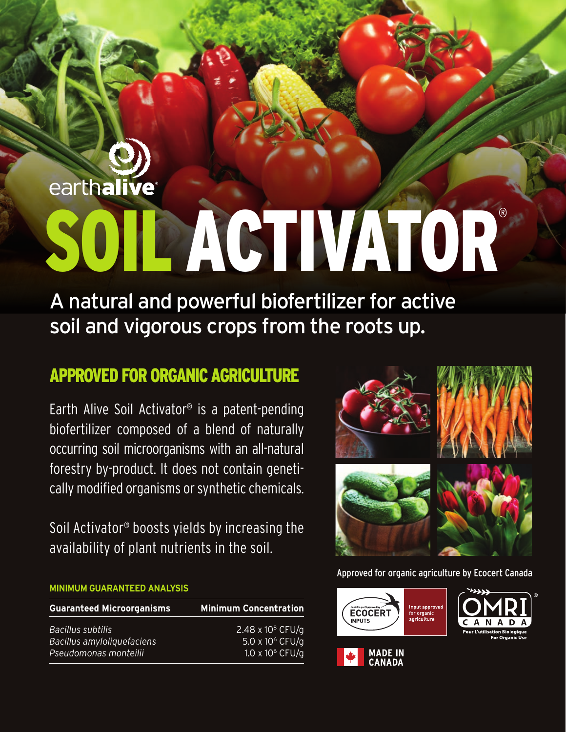# earthalive SOIL ACTIVATOR®

A natural and powerful biofertilizer for active soil and vigorous crops from the roots up.

#### APPROVED FOR ORGANIC AGRICULTURE

Earth Alive Soil Activator® is a patent-pending biofertilizer composed of a blend of naturally occurring soil microorganisms with an all-natural forestry by-product. It does not contain genetically modified organisms or synthetic chemicals.

Soil Activator® boosts yields by increasing the availability of plant nutrients in the soil.

#### **MINIMUM GUARANTEED ANALYSIS**

| <b>Guaranteed Microorganisms</b> | <b>Minimum Concentration</b> |
|----------------------------------|------------------------------|
| Bacillus subtilis                | 2.48 x 10 $^{8}$ CFU/g       |
| Bacillus amyloliquefaciens       | 5.0 x 10 <sup>6</sup> CFU/g  |
| Pseudomonas monteilii            | 1.0 x 10 $6$ CFU/g           |



Approved for organic agriculture by Ecocert Canada



**CANADA**